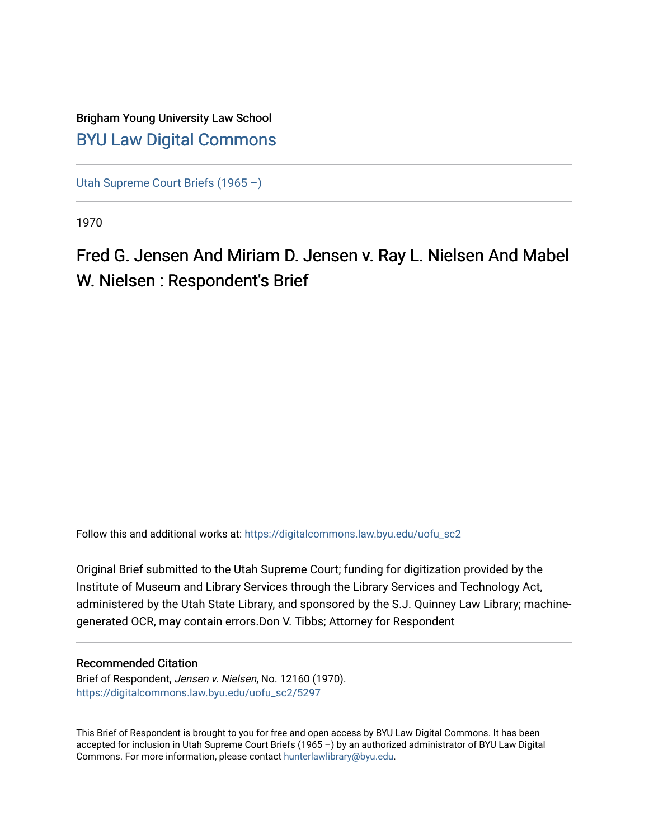# Brigham Young University Law School [BYU Law Digital Commons](https://digitalcommons.law.byu.edu/)

[Utah Supreme Court Briefs \(1965 –\)](https://digitalcommons.law.byu.edu/uofu_sc2)

1970

Fred G. Jensen And Miriam D. Jensen v. Ray L. Nielsen And Mabel W. Nielsen : Respondent's Brief

Follow this and additional works at: [https://digitalcommons.law.byu.edu/uofu\\_sc2](https://digitalcommons.law.byu.edu/uofu_sc2?utm_source=digitalcommons.law.byu.edu%2Fuofu_sc2%2F5297&utm_medium=PDF&utm_campaign=PDFCoverPages)

Original Brief submitted to the Utah Supreme Court; funding for digitization provided by the Institute of Museum and Library Services through the Library Services and Technology Act, administered by the Utah State Library, and sponsored by the S.J. Quinney Law Library; machinegenerated OCR, may contain errors.Don V. Tibbs; Attorney for Respondent

#### Recommended Citation

Brief of Respondent, Jensen v. Nielsen, No. 12160 (1970). [https://digitalcommons.law.byu.edu/uofu\\_sc2/5297](https://digitalcommons.law.byu.edu/uofu_sc2/5297?utm_source=digitalcommons.law.byu.edu%2Fuofu_sc2%2F5297&utm_medium=PDF&utm_campaign=PDFCoverPages) 

This Brief of Respondent is brought to you for free and open access by BYU Law Digital Commons. It has been accepted for inclusion in Utah Supreme Court Briefs (1965 –) by an authorized administrator of BYU Law Digital Commons. For more information, please contact [hunterlawlibrary@byu.edu](mailto:hunterlawlibrary@byu.edu).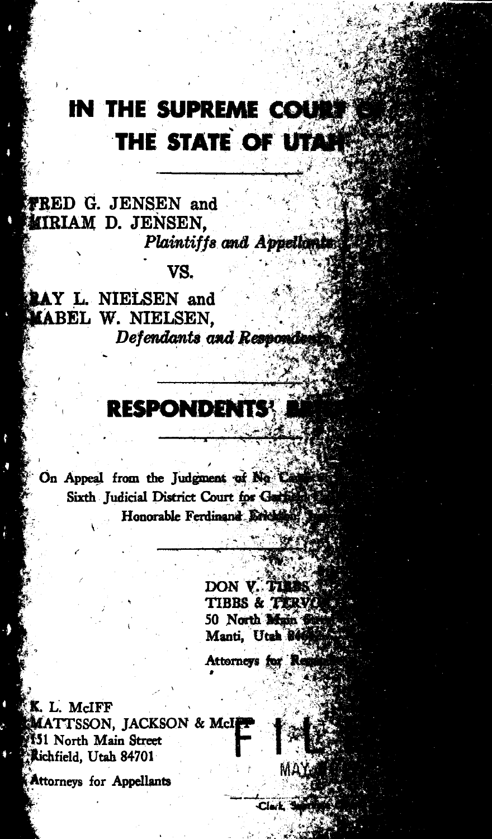# IN THE SUPREME COUN THE STATE OF UTAP

I .

 $\overline{\phantom{a}}$ 

 $*$ RED G. JENSEN and **MIRIAM D. JENSEN.** Plaintiffs and Appellants;

۹

vs.

**PAY L. NIELSEN and MABEL W. NIELSEN,<br>Defendants and Respondent** 

# **RESPONDENTS**

On Appeal from the Judgment of No Camp Sixth Judicial District Court for Garlison

> DON V. TIMES TIBBS & TIRVO 50 North Main Manti, Utah 846 Attorneys for Re

> > $C/L$

K. L. McIFF MATTSSON, JACKSON & McI 151 North Main Street 人 Richfield, Utah 84701

**Attorneys for Appellants**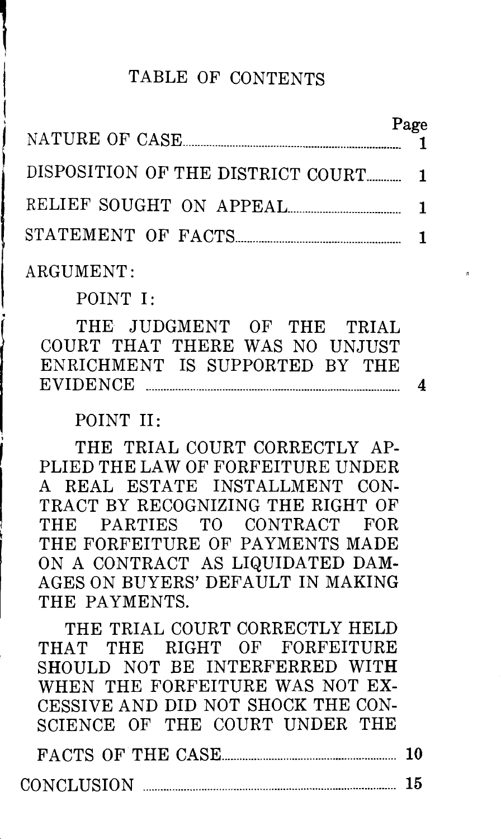## TABLE OF CONTENTS

| NATURE OF CASE.                   | Page |
|-----------------------------------|------|
| DISPOSITION OF THE DISTRICT COURT |      |
| RELIEF SOUGHT ON APPEAL           |      |
| STATEMENT OF FACTS                |      |

ARGUMENT:

l

POINT I:

THE JUDGMENT OF THE TRIAL COURT THAT THERE WAS NO UNJUST ENRICHMENT IS SUPPORTED BY THE EVIDENCE ....................................................................................... 4

POINT II:

THE TRIAL COURT CORRECTLY AP-PLIED THE LAW OF FORFEITURE UNDER A REAL ESTATE INSTALLMENT CON-TRACT BY RECOGNIZING THE RIGHT OF THE PARTIES TO CONTRACT FOR THE FORFEITURE OF PAYMENTS MADE ON A CONTRACT AS LIQUIDATED DAM-AGES ON BUYERS' DEFAULT IN MAKING THE PAYMENTS.

THE TRIAL COURT CORRECTLY HELD THAT THE RIGHT OF FORFEITURE SHOULD NOT BE INTERFERRED WITH WHEN THE FORFEITURE WAS NOT EX-CESSIVE AND DID NOT SHOCK THE CON-SCIENCE OF THE COURT UNDER THE

|  | FACTS OF THE CASE |  |
|--|-------------------|--|
|  |                   |  |

 $\text{CONCLUSION}$   $\longrightarrow$  15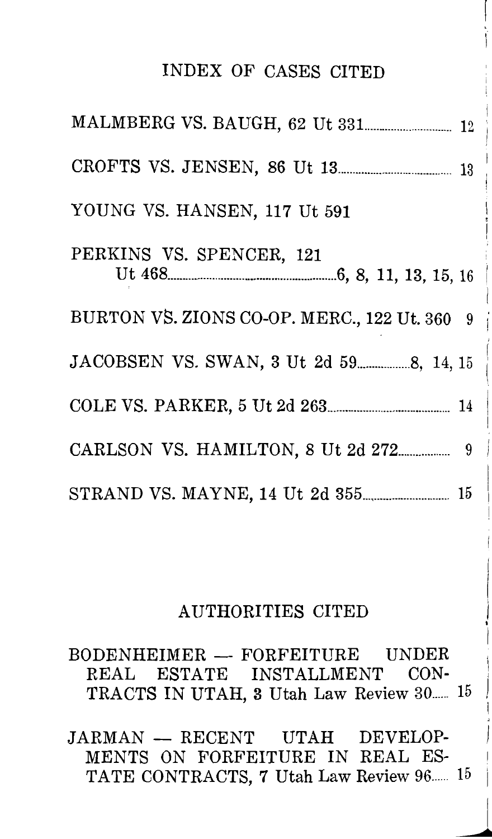### INDEX OF CASES CITED

| YOUNG VS. HANSEN, 117 Ut 591                 |
|----------------------------------------------|
| PERKINS VS. SPENCER, 121                     |
| BURTON VS. ZIONS CO-OP. MERC., 122 Ut. 360 9 |
|                                              |
|                                              |
|                                              |
|                                              |

### AUTHORITIES CITED

BODENHEIMER - FORFEITURE UNDER REAL ESTATE INSTALLMENT CON-TRACTS IN UTAH, 3 Utah Law Review 30..... 15

JARMAN -- RECENT UTAH DEVELOP-MENTS ON FORFEITURE IN REAL ES-TATE CONTRACTS, 7 Utah Law Review 96...... 15

> I •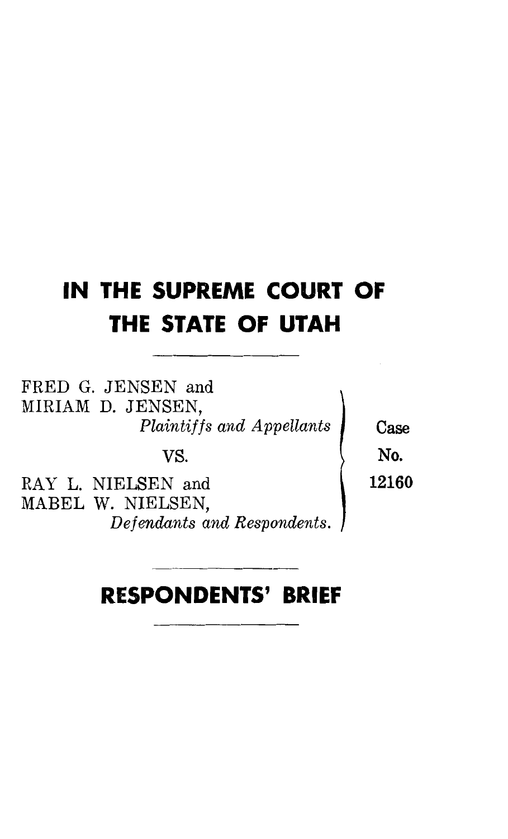# **IN THE SUPREME COURT OF THE STATE OF UTAH**

FRED G. JENSEN and MIRIAM D. JENSEN, *Plaintiffs and Appellants* **Case** 

RAY L. NIELSEN and 12160 MABEL W. NIELSEN, *Defendants and Respondents.* 

VS.  $\qquad \qquad \blacksquare$ 

# **RESPONDENTS' BRIEF**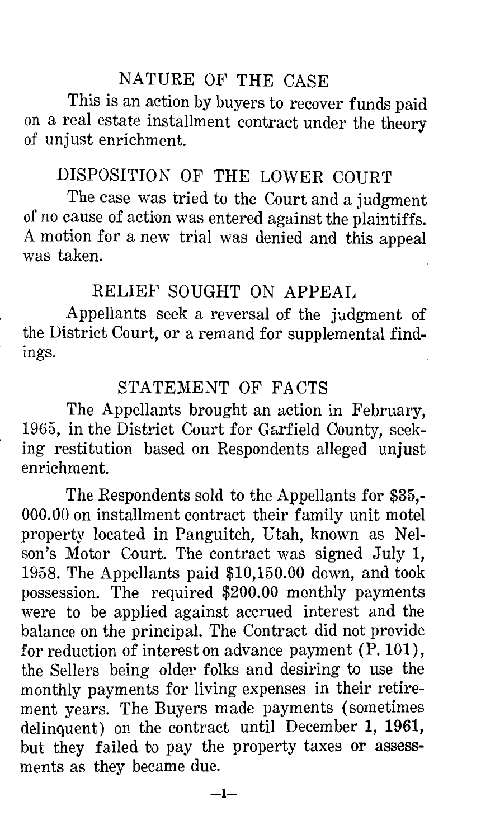### NATURE OF THE CASE

This is an action by buyers to recover funds paid on a real estate installment contract under the theory of unjust enrichment.

# DISPOSITION OF THE LOWER COURT

The case was tried to the Court and a judgment of no cause of action was entered against the plaintiffs. A motion for a new trial was denied and this appeal was taken.

### RELIEF SOUGHT ON APPEAL

Appellants seek a reversal of the judgment of the District Court, or a remand for supplemental findings.

#### STATEMENT OF FACTS

The Appellants brought an action in February, 1965, in the District Court for Garfield Oounty, seeking restitution based on Respondents alleged unjust enrichment.

The Respondents sold to the Appellants for \$35,- 000.00 on installment contract their family unit motel property located in Panguitch, Utah, known as Nelson's Motor Court. The contract was signed July 1, 1958. The Appellants paid \$10,150.00 down, and took possession. The required \$200.00 monthly payments were to be applied against accrued interest and the balance on the principal. The Contract did not provide for reduction of interest on advance payment (P.101), the Sellers being older folks and desiring to use the monthly payments for living expenses in their retirement years. The Buyers made payments (sometimes delinquent) on the contract until December 1, 1961, but they failed to pay the property taxes or assessments as they became due.

 $-1-$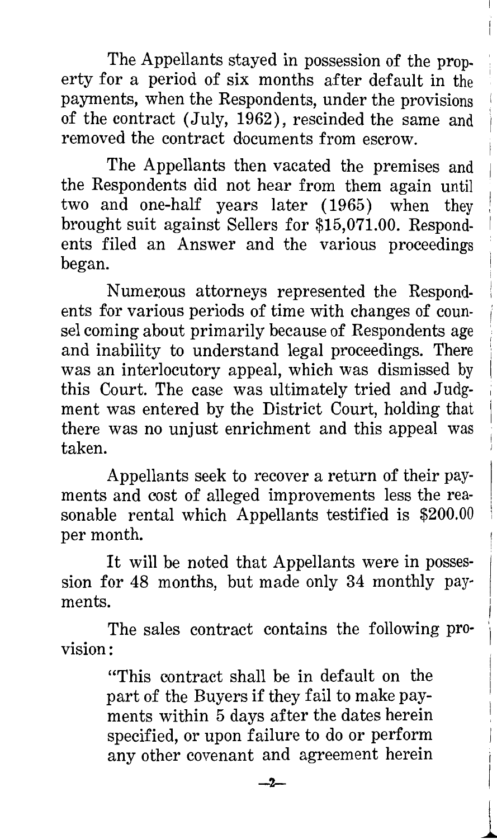The Appellants stayed in possession of the property for a period of six months after default in the payments, when the Respondents, under the provisions i of the contract (July, 1962), rescinded the same and removed the contract documents from escrow.

The Appellants then vacated the premises and the Respondents did not hear from them again until two and one-half years later (1965) when they brought suit against Sellers for \$15,071.00. Respondents filed an Answer and the various proceedings began.

Numerous attorneys represented the Respondents for various periods of time with changes of counsel coming about primarily because of Respondents age and inability to understand legal proceedings. There was an interlocutory appeal, which was dismissed by this Court. The case was ultimately tried and Judgment was entered by the District Court, holding that there was no unjust enrichment and this appeal was taken.

Appellants seek to recover a return of their payments and cost of alleged improvements less the reasonable rental which Appellants testified is \$200.00 per month.

It will be noted that Appellants were in possession for 48 months, but made only 34 monthly payments.

The sales contract contains the following provision:

> "This contract shall be in default on the part of the Buyers if they fail to make payments within 5 days after the dates herein specified, or upon failure to do or perform any other covenant and agreement herein

i I

 $\overline{\phantom{a}}$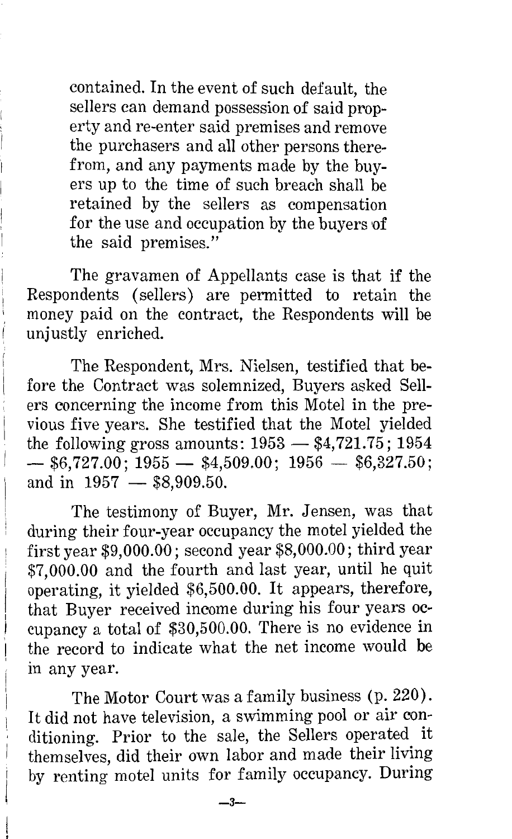contained. In the event of such default, the sellers can demand possession of said property and re-enter said premises and remove the purchasers and all other persons therefrom, and any payments made by the buyers up to the time of such breach shall be retained by the sellers as compensation for the use and occupation by the buyers of the said premises."

The gravamen of Appellants case is that if the Respondents (sellers) are permitted to retain the money paid on the contract, the Respondents will be unjustly enriched.

The Respondent, Mrs. Nielsen, testified that before the Contract was solemnized, Buyers asked Sellers concerning the income from this Motel in the previous five years. She testified that the Motel yielded the following gross amounts:  $1953 - $4,721.75$ ; 1954  $-$  \$6,727.00; 1955  $-$  \$4,509.00; 1956  $-$  \$6,327.50; and in  $1957 - $8,909.50$ .

The testimony of Buyer, Mr. Jensen, was that during their four-year occupancy the motel yielded the first year \$9,000.00; second year \$8,000.00; third year \$7,000.00 and the fourth and last year, until he quit operating, it yielded \$6,500.00. It appears, therefore, that Buyer received income during his four years occupancy a total of \$30,500.00. There is no evidence in the record to indicate what the net income would be in any year.

The Motor Court was a family business (p. 220). It did not have television, a swimming pool or air conditioning. Prior to the sale, the Sellers operated it themselves, did their own labor and made their living by renting motel units for family occupancy. During

 $-3-$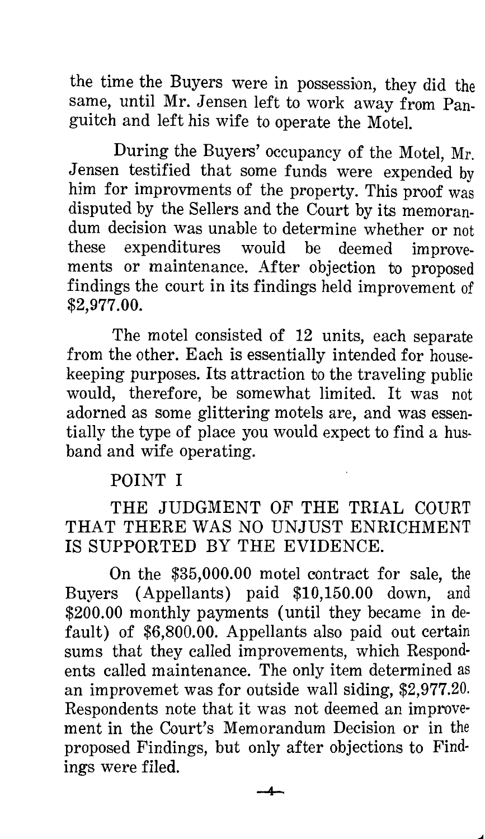the time the Buyers were in possession, they did the same, until Mr. Jensen left to work away from Panguitch and left his wife to operate the Motel.

During the Buyers' occupancy of the Motel, Mr. Jensen testified that some funds were expended by him for improvments of the property. This proof was disputed by the Sellers and the Court by its memorandum decision was unable to determine whether or not these expenditures would be deemed improvements or maintenance. After objection to proposed findings the court in its findings held improvement of \$2,977.00.

The motel consisted of 12 units, each separate from the other. Each is essentially intended for housekeeping purposes. Its attraction to the traveling public would, therefore, be somewhat limited. It was not adorned as some glittering motels are, and was essentially the type of place you would expect to find a husband and wife operating.

## POINT I

THE JUDGMENT OF THE TRIAL COURT THAT THERE WAS NO UNJUST ENRICHMENT IS SUPPORTED BY THE EVIDENCE.

On the \$35,000.00 motel contract for sale, the Buyers (Appellants) paid \$10,150.00 down, and \$200.00 monthly payments (until they became in default) of \$6,800.00. Appellants also paid out certain sums that they called improvements, which Respondents called maintenance. The only item determined as an improvemet was for outside wall siding, \$2,977.20. Respondents note that it was not deemed an improvement in the Court's Memorandum Decision or in the proposed Findings, but only after objections to Findings were filed.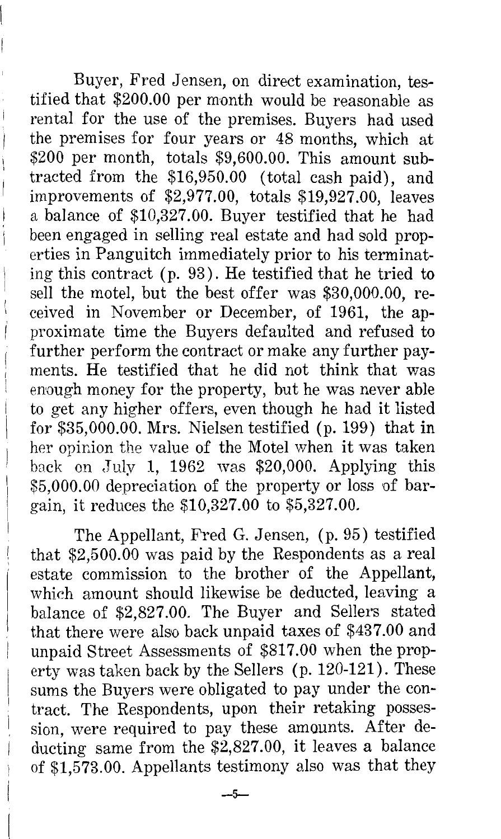Buyer, Fred Jensen, on direct examination, testified that \$200.00 per month would be reasonable as rental for the use of the premises. Buyers had used the premises for four years or 48 months, which at  $$200$  per month, totals  $$9,600.00$ . This amount subtracted from the \$16,950.00 (total cash paid), and improvements of \$2,977.00, totals \$19,927.00, leaves a balance of \$10,327.00. Buyer testified that he had been engaged in selling real estate and had sold properties in Panguitch immediately prior to his terminating this contract ( p. 93). He testified that he tried to sell the motel, but the best offer was \$30,000.00, received in November or December, of 1961, the approximate time the Buyers defaulted and refused to further perform the contract or make any further payments. He testified that he did not think that was enough money for the property, but he was never able to get any higher offers, even though he had it listed for \$35,000.00. Mrs. Nielsen testified (p. 199) that in her opinion the value of the Motel when it was taken back on July 1, 1962 was  $$20,000$ . Applying this \$5,000.00 depreciation of the property or loss of bargain, it reduces the \$10,327.00 to \$5,327.00.

The Appellant, Fred G. Jensen, (p. 95) testified that \$2,500.00 was paid by the Respondents as a real estate commission to the brother of the Appellant, which amount should likewise be deducted, leaving a balance of \$2,827.00. The Buyer and Sellers stated that there were also back unpaid taxes of \$437.00 and unpaid Street Assessments of \$817.00 when the property was taken back by the Sellers (p. 120-121). These sums the Buyers were obligated to pay under the contract. The Respondents, upon their retaking possession, were required to pay these amounts. After deducting same from the \$2,827.00, it leaves a balance of \$1,573.00. Appellants testimony also was that they

 $-5-$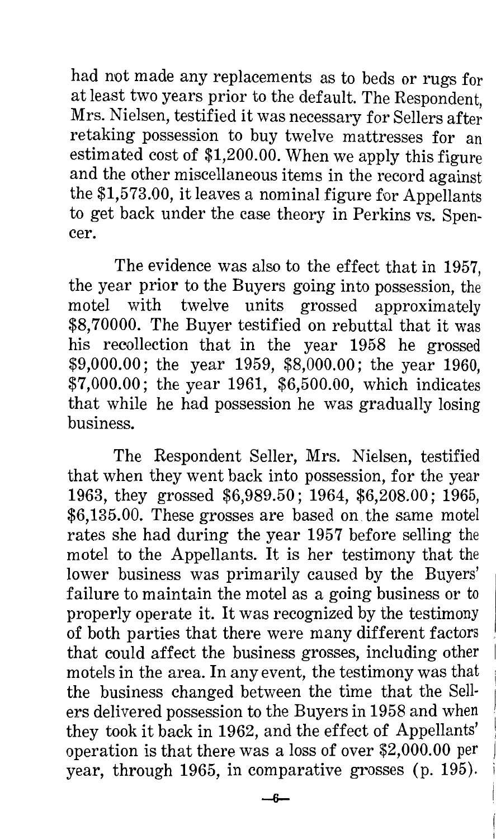had not made any replacements as to beds or rugs for at least two years prior to the default. The Respondent, Mrs. Nielsen, testified it was necessary for Sellers after retaking possession to buy twelve mattresses for an estimated cost of \$1,200.00. When we apply this figure and the other miscellaneous items in the record against the \$1,573.00, it leaves a nominal figure for Appellants to get back under the case theory in Perkins vs. Spencer.

The evidence was also to the effect that in 1957, the year prior to the Buyers going into possession, the motel with twelve units grossed approximately \$8,70000. The Buyer testified on rebuttal that it was his recollection that in the year 1958 he grossed \$9,000.00; the year 1959, \$8,000.00; the year 1960, \$7,000.00; the year 1961, \$6,500.00, which indicates that while he had possession he was gradually losing business.

The Respondent Seller, Mrs. Nielsen, testified that when they went back into possession, for the year 1963, they grossed \$6,989.50; 1964, \$6,208.00; 1965, \$6,135.00. These grosses are based on. the same motel rates she had during the year 1957 before selling the motel to the Appellants. It is her testimony that the lower business was primarily caused by the Buyers' failure to maintain the motel as a going business or to properly operate it. It was recognized by the testimony of both parties that there were many different factors that could affect the business grosses, including other motels in the area. In any event, the testimony was that the business changed between the time that the Sellers delivered possession to the Buyers in 1958 and when they took it back in 1962, and the effect of Appellants' operation is that there was a loss of over \$2,000.00 per year, through 1965, in comparative grosses (p. 195).

--6-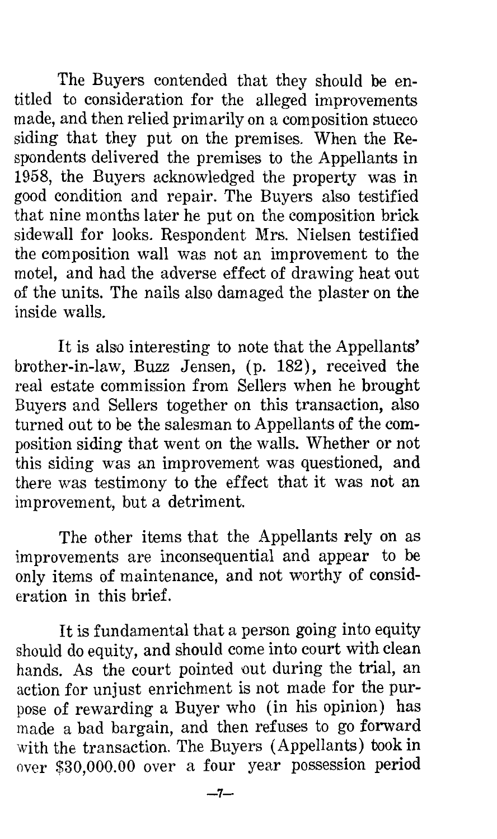The Buyers contended that they should be entitled to consideration for the alleged improvements made, and then relied primarily on a composition stucco siding that they put on the premises. When the Respondents delivered the premises to the Appellants in 1958, the Buyers acknowledged the property was in good condition and repair. The Buyers also testified that nine months later he put on the composition brick sidewall for looks. Respondent Mrs. Nielsen testified the composition wall was not an improvement to the motel, and had the adverse effect of drawing heat out of the units. The nails also damaged the plaster on the inside walls.

It is also interesting to note that the Appellants' brother-in-law, Buzz Jensen, (p. 182), received the real estate commission from Sellers when he brought Buyers and Sellers together on this transaction, also turned out to be the salesman to Appellants of the composition siding that went on the walls. Whether or not this siding was an improvement was questioned, and there was testimony to the effect that it was not an improvement, but a detriment.

The other items that the Appellants rely on as improvements are inconsequential and appear to be only items of maintenance, and not worthy of consideration in this brief.

It is fundamental that a person going into equity should do equity, and should come into court with clean hands. As the court pointed out during the trial, an action for unjust enrichment is not made for the purpose of rewarding a Buyer who (in his opinion) has made a bad bargain, and then refuses to go forward with the transaction. The Buyers (Appellants) took in over \$30,000.00 over a four year possession period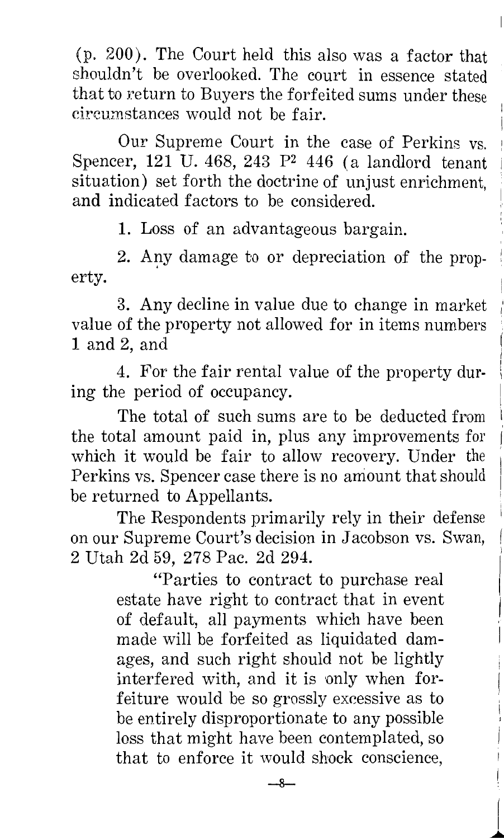(p. 200). The Court held this also was a factor that shouldn't be overlooked. The court in essence stated that to return to Buyers the forfeited sums under these circumstances would not be fair.

Our Supreme Court in the case of Perkins vs. Spencer,  $121$  U. 468, 243 P<sup>2</sup> 446 (a landlord tenant situation) set forth the doctrine of unjust enrichment, and indicated factors to be considered.

1. Loss of an advantageous bargain.

2. Any damage to or depreciation of the property.

3. Any decline in value due to change in market value of the property not allowed for in items numbers 1 and 2, and

4. For the fair rental value of the property during the period of occupancy.

The total of such sums are to be deducted from the total amount paid in, plus any improvements for which it would be fair to allow recovery. Under the Perkins vs. Spencer case there is no amount that should be returned to Appellants.

The Respondents primarily rely in their defense on our Supreme Court's decision in Jacobson vs. Swan, 2 Utah 2d 59, 278 Pac. 2d 294.

> "Parties to contract to purchase real estate have right to contract that in event of default, all payments which have been made will be forfeited as liquidated damages, and such right should not be lightly interfered with, and it is only when forfeiture would be so grossly excessive as to be entirely disproportionate to any possible loss that might have been contemplated, so that to enforce it would shock conscience,

> > -8-

 $\overline{\phantom{a}}$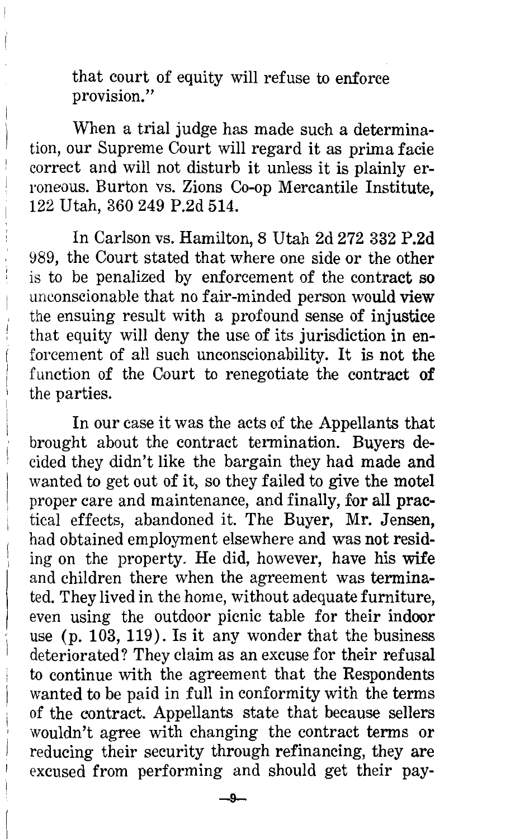that court of equity will refuse to enforce provision."

When a trial judge has made such a determination, our Supreme Court will regard it as prima facie correct and will not disturb it unless it is plainly erroneous. Burton vs. Zions Co-op Mercantile Institute, 122 Utah, 360 249 P.2d 514.

In Carlson vs. Hamilton, 8 Utah 2d 272 332 P.2d 989, the Court stated that where one side or the other is to be penalized by enforcement of the contract so unconscionable that no fair-minded person would view the ensuing result with a profound sense of injustice that equity will deny the use of its jurisdiction in enforcement of all such unconscionability. It is not the function of the Court to renegotiate the contract of the parties.

In our case it was the acts of the Appellants that brought about the contract termination. Buyers decided they didn't like the bargain they had made and wanted to get out of it, so they failed to give the motel proper care and maintenance, and finally, for all practical effects, abandoned it. The Buyer, Mr. Jensen, had obtained employment elsewhere and was not residing on the property. He did, however, have his wife and children there when the agreement was terminated. They lived in the home, without adequate furniture, even using the outdoor picnic table for their indoor use (p. 103, 119). Is it any wonder that the business deteriorated? They claim as an excuse for their refusal to continue with the agreement that the Respondents wanted to be paid in full in conformity with the terms of the contract. Appellants state that because sellers wouldn't agree with changing the contract terms or reducing their security through refinancing, they are excused from performing and should get their pay-

--9-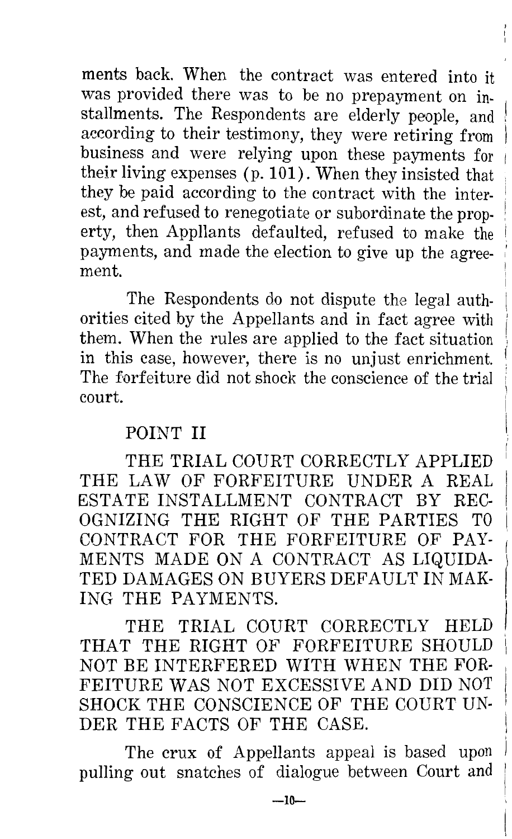ments back. When the contract was entered into it was provided there was to be no prepayment on installments. The Respondents are elderly people, and according to their testimony, they were retiring from business and were relying upon these payments for <sup>1</sup> their living expenses (p. 101). When they insisted that they be paid according to the contract with the interest, and refused to renegotiate or subordinate the property, then Appllants defaulted, refused to make the payments, and made the election to give up the agreement.

The Respondents do not dispute the legal authorities cited by the Appellants and in fact agree with them. When the rules are applied to the fact situation in this case, however, there is no unjust enrichment. The forfeiture did not shock the conscience of the trial court.

## POINT II

THE TRIAL COURT CORRECTLY APPLIED THE LAW OF FORFEITURE UNDER A REAL ESTATE INSTALLMENT CONTRACT BY REC-OGNIZING THE RIGHT OF THE PARTIES TO CONTRACT FOR THE FORFEITURE OF PAY-MENTS MADE ON A CONTRACT AS LIQUIDA-TED DAMAGES ON BUYERS DEFAULT IN MAK-ING THE PAYMENTS.

THE TRIAL COURT CORRECTLY HELD THAT THE RIGHT OF FORFEITURE SHOULD NOT BE INTERFERED WITH WHEN THE FOR-FEITURE WAS NOT EXCESSIVE AND DID NOT SHOCK THE CONSCIENCE OF THE COURT UN-DER THE FACTS OF THE CASE.

The crux of Appellants appeal is based upon pulling out snatches of dialogue between Court and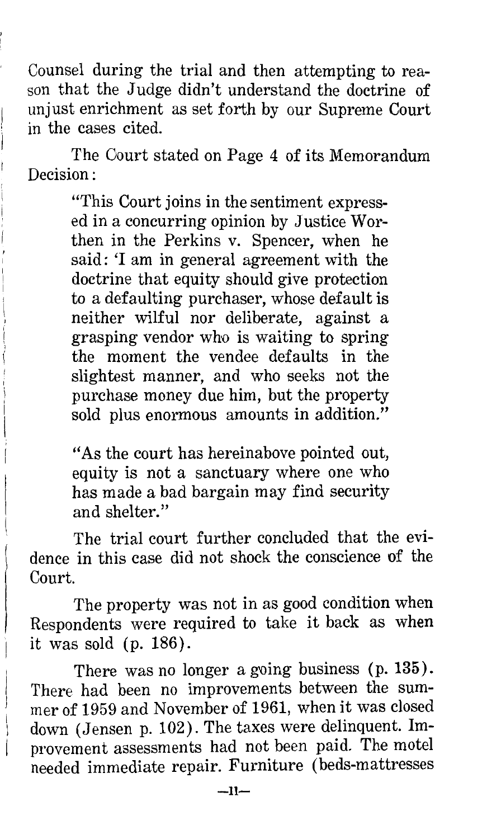Counsel during the trial and then attempting to reason that the Judge didn't understand the doctrine of unjust enrichment as set forth by our Supreme Court in the cases cited.

The Oourt stated on Page 4 of its Memorandum Decision:

> "This Court joins in the sentiment expressed in a concurring opinion by Justice Worthen in the Perkins v. Spencer, when he said: 'I am in general agreement with the doctrine that equity should give protection to a defaulting purchaser, whose default is neither wilful nor deliberate, against a grasping vendor who is waiting to spring the moment the vendee defaults in the slightest manner, and who seeks not the purchase money due him, but the property sold plus enormous amounts in addition."

> "As the court has hereinabove pointed out, equity is not a sanctuary where one who has made a bad bargain may find security and shelter."

The trial court further concluded that the evidence in this case did not shock the conscience of the Court.

The property was not in as good condition when Respondents were required to take it back as when it was sold (p. 186).

There was no longer a going business (p. 135). There had been no improvements between the summer of 1959 and November of 1961, when it was closed down (Jensen p. 102). The taxes were delinquent. Improvement assessments had not been paid. The motel needed immediate repair. Furniture (beds-mattresses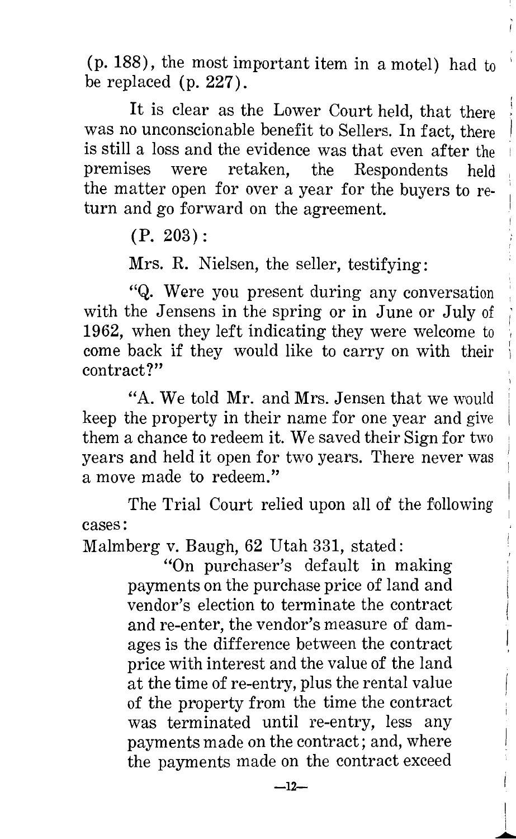(p. 188), the most important item in a motel) had to 1 be replaced (p. 227).

It is clear as the Lower Court held, that there was no unconscionable benefit to Sellers. In fact, there is still a loss and the evidence was that even after the premises were retaken, the Respondents held the matter open for over a year for the buyers to return and go forward on the agreement.

(P. 203):

Mrs. R. Nielsen, the seller, testifying:

"Q. Were you present during any conversation ' with the Jensens in the spring or in June or July of 1962, when they left indicating they were welcome to come back if they would like to carry on with their contract?"

"A. We told Mr. and Mrs. Jensen that we would ' keep the property in their name for one year and give them a chance to redeem it. We saved their Sign for two years and held it open for two years. There never was a move made to redeem."

The Trial Court relied upon all *of* the following cases:

Malmberg v. Baugh, 62 Utah 331, stated:

"On purchaser's default in making payments on the purchase price of land and vendor's election to terminate the contract and re-enter, the vendor's measure of damages is the difference between the contract price with interest and the value of the land at the time of re-entry, plus the rental value of the property from the time the contract was terminated until re-entry, less any payments made on the contract; and, where the payments made on the contract exceed

 $\perp$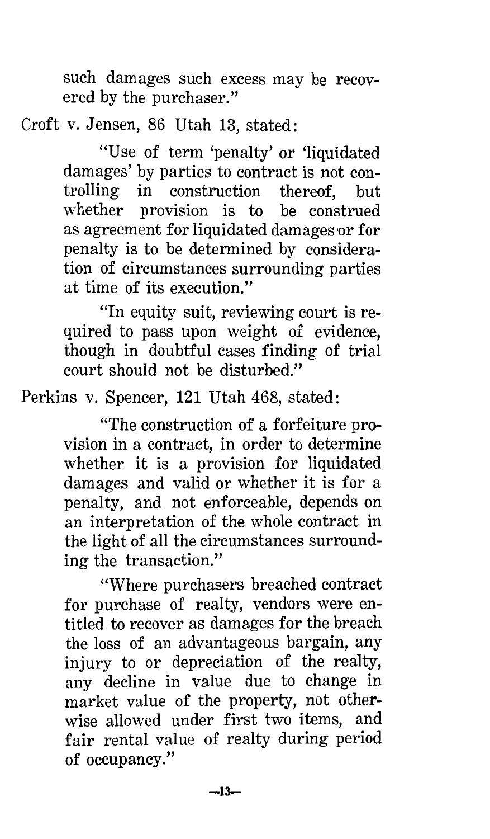such damages such excess may be recovered by the purchaser."

Croft v. Jensen, 86 Utah 13, stated:

"Use of term 'penalty' or 'liquidated damages' by parties to contract is not controlling in construction thereof, but whether provision is to be construed as agreement for liquidated damages or for penalty is to be determined by consideration of circumstances surrounding parties at time of its execution."

"In equity suit, reviewing court is required to pass upon weight of evidence, though in doubtful cases finding of trial court should not be disturbed."

Perkins v. Spencer, 121 Utah 468, stated:

"The construction of a forfeiture provision in a contract, in order to determine whether it is a provision for liquidated damages and valid or whether it is for a penalty, and not enforceable, depends on an interpretation of the whole contract in the light of all the circumstances surrounding the transaction."

''Where purchasers breached contract for purchase of realty, vendors were entitled to recover as damages for the breach the loss of an advantageous bargain, any injury to or depreciation of the realty, any decline in value due to change in market value of the property, not otherwise allowed under first two items, and fair rental value of realty during period of occupancy."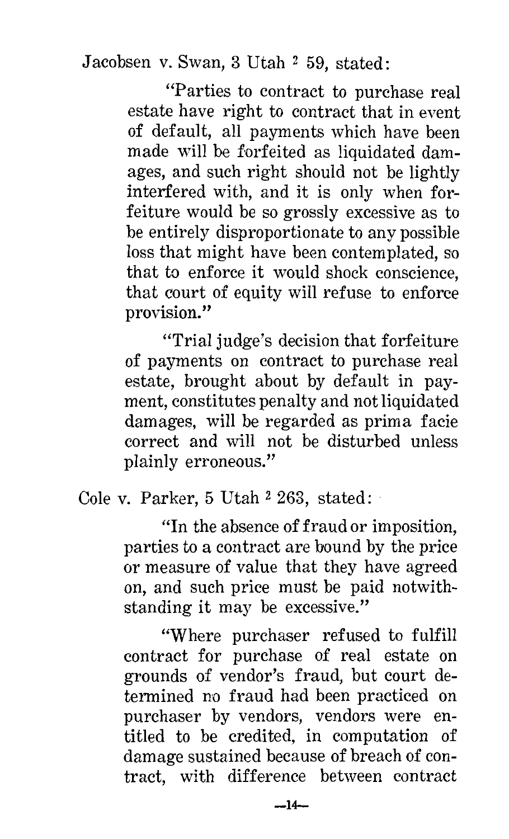Jacobsen v. Swan, 3 Utah 2 59, stated:

"Parties to contract to purchase real estate have right to contract that in event of default, all payments which have been made will be forfeited as liquidated damages, and such right should not be lightly interfered with, and it is only when forfeiture would be so grossly excessive as to be entirely disproportionate to any possible loss that might have been contemplated, so that to enforce it would shock conscience, that court of equity will refuse to enforce provision."

"Trial judge's decision that forfeiture of payments on contract to purchase real estate, brought about by default in payment, constitutes penalty and not liquidated damages, will be regarded as prima facie correct and will not be disturbed unless plainly erroneous."

Cole v. Parker, 5 Utah 2 263, stated:

"In the absence of fraud or imposition, parties to a contract are bound by the price or measure of value that they have agreed on, and such price must be paid notwithstanding it may be excessive."

"Where purchaser refused to fulfill contract for purchase of real estate on grounds of vendor's fraud, but court determined no fraud had been practiced on purchaser by vendors, vendors were entitled to be credited, in computation of damage sustained because of breach of contract, with difference between contract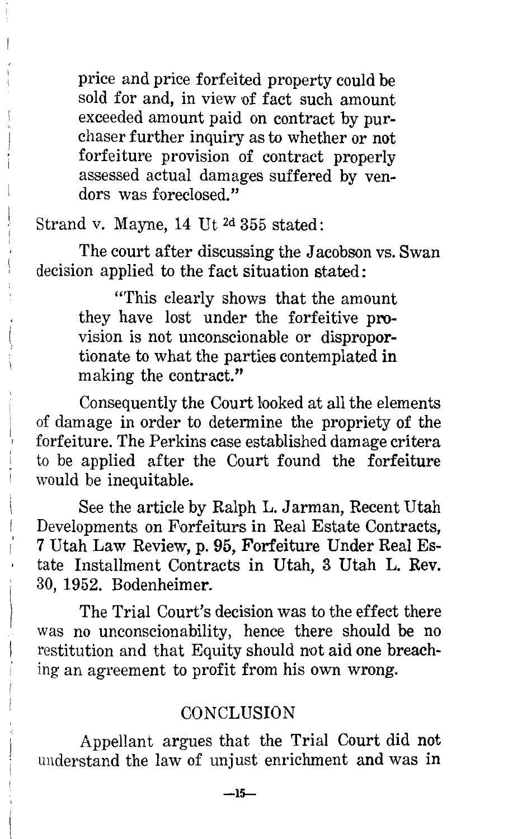price and price forfeited property could be sold for and, in view of fact such amount exceeded amount paid on contract by purchaser further inquiry as to whether or not forfeiture provision of contract properly assessed actual damages suffered by vendors was foreclosed."

Strand v. Mayne, 14 Ut 2d 355 stated:

The court after discussing the Jacobson vs. Swan decision applied to the fact situation stated:

> "This clearly shows that the amount they have lost under the forfeitive provision is not unconscionable or disproportionate to what the parties contemplated in making the contract."

Consequently the Court looked at all the elements of damage in order to determine the propriety of the forfeiture. The Perkins case established damage critera to be applied after the Court found the forfeiture would be inequitable.

See the article by Ralph L. Jarman, Recent Utah Developments on Forfeiturs in Real Estate Contracts, 7 Utah Law Review, p. 95, Forfeiture Under Real Estate Installment Contracts in Utah, 3 Utah L. Rev. 30, 1952. Bodenheimer.

The Trial Court's decision was to the effect there was no unconscionability, hence there should be no restitution and that Equity should not aid one breaching an agreement to profit from his own wrong.

### **CONCLUSION**

Appellant argues that the Trial Court did not understand the law of unjust enrichment and was in